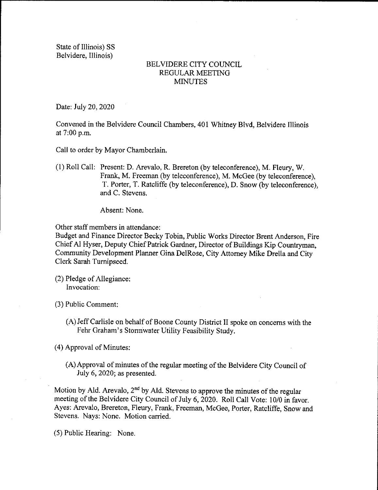State of Illinois) SS Belvidere, Illinois)

## BELVIDERE CITY COUNCIL REGULAR MEETING MINUTES

Date: July 20, 2020

Convened in the Belvidere Council Chambers, 401 Whitney Blvd, Belvidere Illinois at 7:00 p.m.

Call to order by Mayor Chamberlain.

1) Roll Call: Present: D. Arevalo, R. Brereton( by teleconference), M. Fleury, W. Frank, M. Freeman (by teleconference), M. McGee (by teleconference), T. Porter, T. Ratcliffe (by teleconference), D. Snow (by teleconference), and C. Stevens.

Absent: None.

Other staff members in attendance:

Budget and Finance Director Becky Tobin, Public Works Director Brent Anderson, Fire Chief Al Hyser, Deputy Chief Patrick Gardner, Director of Buildings Kip Countryman, Community Development Planner Gina DelRose, City Attorney Mike Drella and City Clerk Sarah Turnipseed.

(2) Pledge of Allegiance: Invocation:

3) Public Comment:

A) Jeff Carlisle on behalf of Boone County District II spoke on concerns with the Fehr Graham's Stormwater Utility Feasibility Study.

4) Approval of Minutes:

A) Approval of minutes of the regular meeting of the Belvidere City Council of July 6, 2020; as presented.

Motion by Ald. Arevalo,  $2<sup>nd</sup>$  by Ald. Stevens to approve the minutes of the regular meeting of the Belvidere City Council of July 6, 2020. Roll Call Vote: 10/0 in favor. Ayes: Arevalo, Brereton, Fleury, Frank, Freeman, McGee, Porter, Ratcliffe, Snow and Stevens. Nays: None. Motion carried.

5) Public Hearing: None.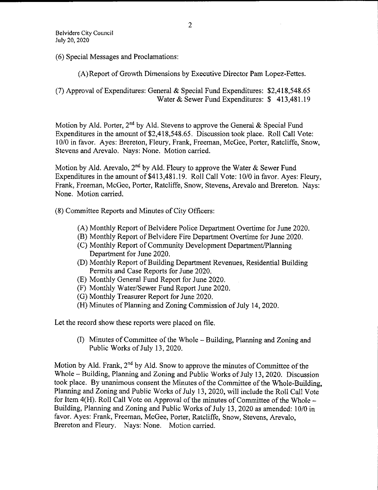6) Special Messages and Proclamations:

A) Report of Growth Dimensions by Executive Director Pam Lopez- Fettes.

7) Approval of Expenditures: General & Special Fund Expenditures: \$ 2, 418,548. 65 Water & Sewer Fund Expenditures: \$413,481.19

Motion by Ald. Porter, 2<sup>nd</sup> by Ald. Stevens to approve the General & Special Fund Expenditures in the amount of \$2,418, 548, 65. Discussion took place. Roll Call Vote: 10/0 in favor. Ayes: Brereton, Fleury, Frank, Freeman, McGee, Porter, Ratcliffe, Snow, Stevens and Arevalo. Nays: None. Motion carried.

Motion by Ald. Arevalo,  $2^{nd}$  by Ald. Fleury to approve the Water & Sewer Fund Expenditures in the amount of \$413, 481, 19. Roll Call Vote: 10/0 in favor. Ayes: Fleury, Frank, Freeman, McGee, Porter, Ratcliffe, Snow, Stevens, Arevalo and Brereton. Nays: None. Motion carried.

8) Committee Reports and Minutes of City Officers:

- A) Monthly Report of Belvidere Police Department Overtime for June 2020.
- B) Monthly Report of Belvidere Fire Department Overtime for June 2020.
- (C) Monthly Report of Community Development Department/Planning Department for June 2020.
- D) Monthly Report of Building Department Revenues, Residential Building Permits and Case Reports for June 2020.
- E) Monthly General Fund Report for June 2020.
- (F) Monthly Water/Sewer Fund Report June 2020.
- G) Monthly Treasurer Report for June 2020.
- (H) Minutes of Planning and Zoning Commission of July 14, 2020.

Let the record show these reports were placed on file.

I) Minutes of Committee of the Whole— Building, Planning and Zoning and Public Works of July 13, 2020.

Motion by Ald. Frank,  $2<sup>nd</sup>$  by Ald. Snow to approve the minutes of Committee of the Whole— Building, Planning and Zoning and Public Works of July 13, 2020. Discussion took place. By unanimous consent the Minutes of the Committee of the Whole-Building, Planning and Zoning and Public Works of July 13, 2020, will include the Roll Call Vote for Item  $4(H)$ . Roll Call Vote on Approval of the minutes of Committee of the Whole – Building, Planning and Zoning and Public Works of July 13, 2020 as amended: 10/0 in favor. Ayes: Frank, Freeman, McGee, Porter, Ratcliffe, Snow, Stevens, Arevalo, Brereton and Fleury. Nays: None. Motion carried.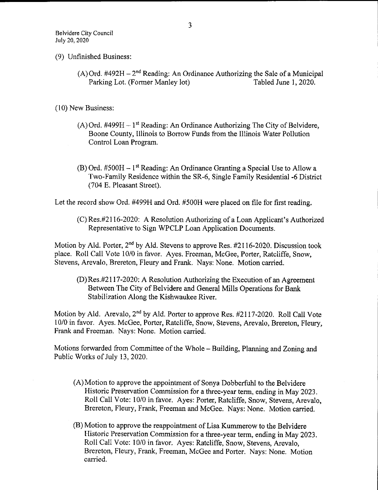- 9) Unfinished Business:
	- (A) Ord. #492H  $-2^{nd}$  Reading: An Ordinance Authorizing the Sale of a Municipal<br>Parking Lot. (Former Manley lot) Tabled June 1, 2020. Parking Lot. (Former Manley lot)

10) New Business:

- $(A)$  Ord. #499H  $-1<sup>st</sup>$  Reading: An Ordinance Authorizing The City of Belvidere, Boone County, Illinois to Borrow Funds from the Illinois Water Pollution Control Loan Program.
- $(B)$  Ord. #500H 1<sup>st</sup> Reading: An Ordinance Granting a Special Use to Allow a Two-Family Residence within the SR-6, Single Family Residential -6 District 704 E. Pleasant Street).

Let the record show Ord. #499H and Ord. #500H were placed on file for first reading.

 $(C)$  Res.#2116-2020: A Resolution Authorizing of a Loan Applicant's Authorized Representative to Sign WPCLP Loan Application Documents.

Motion by Ald. Porter, 2<sup>nd</sup> by Ald. Stevens to approve Res. #2116-2020. Discussion took place. Roll Call Vote 10/0 in favor. Ayes. Freeman, McGee, Porter, Ratcliffe, Snow, Stevens, Arevalo, Brereton, Fleury and Frank. Nays: None. Motion carried.

D) Res.# 2117- 2020: A Resolution Authorizing the Execution of an Agreement Between The City of Belvidere and General Mills Operations for Bank Stabilization Along the Kishwaukee River.

Motion by Ald. Arevalo,  $2<sup>nd</sup>$  by Ald. Porter to approve Res.  $\#2117-2020$ . Roll Call Vote 10/0 in favor. Ayes. McGee, Porter, Ratcliffe, Snow, Stevens, Arevalo, Brereton, Fleury, Frank and Freeman. Nays: None. Motion carried.

Motions forwarded from Committee of the Whole— Building, Planning and Zoning and Public Works of July 13, 2020.

- A) Motion to approve the appointment of Sonya Dobberfuhl to the Belvidere Historic Preservation Commission for a three- year term, ending in May 2023. Roll Call Vote: 10/0 in favor. Ayes: Porter, Ratcliffe, Snow, Stevens, Arevalo, Brereton, Fleury, Frank, Freeman and McGee. Nays: None. Motion carried.
- B) Motion to approve the reappointment of Lisa Kummerow to the Belvidere Historic Preservation Commission for a three- year term, ending in May 2023. Roll Call Vote: 10/0 in favor. Ayes: Ratcliffe, Snow, Stevens, Arevalo, Brereton, Fleury, Frank, Freeman, McGee and Porter. Nays: None. Motion carried.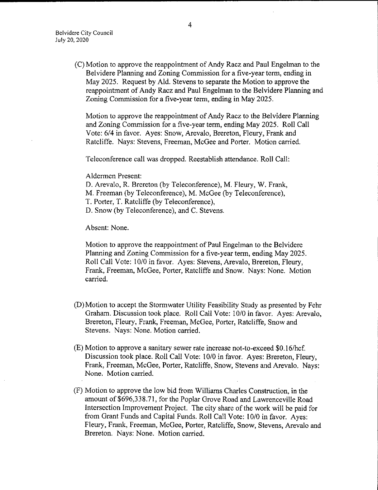C) Motion to approve the reappointment of Andy Racz and Paul Engelman to the Belvidere Planning and Zoning Commission for a five-year term, ending in May 2025. Request by Ald. Stevens to separate the Motion to approve the reappointment of Andy Racz and Paul Engelman to the Belvidere Planning and Zoning Commission for a five- year term, ending in May 2025.

Motion to approve the reappointment of Andy Racz to the Belvidere Planning and Zoning Commission for a five-year term, ending May 2025. Roll Call Vote: 6/4 in favor. Ayes: Snow, Arevalo, Brereton, Fleury, Frank and Ratcliffe. Nays: Stevens, Freeman, McGee and Porter. Motion carried.

Teleconference call was dropped. Reestablish attendance. Roll Call:

Aldermen Present:

D. Arevalo, R. Brereton (by Teleconference), M. Fleury, W. Frank, M. Freeman (by Teleconference), M. McGee (by Teleconference), T. Porter, T. Ratcliffe ( by Teleconference), D. Snow( by Teleconference), and C. Stevens.

Absent: None.

Motion to approve the reappointment of Paul Engelman to the Belvidere Planning and Zoning Commission for a five- year term, ending May 2025. Roll Call Vote: 10/0 in favor. Ayes: Stevens, Arevalo, Brereton, Fleury, Frank, Freeman, McGee, Porter, Ratcliffe and Snow. Nays: None. Motion carried.

- D) Motion to accept the Stormwater Utility Feasibility Study as presented by Fehr Graham. Discussion took place. Roll Call Vote: 10/0 in favor. Ayes: Arevalo, Brereton, Fleury, Frank, Freeman, McGee, Porter, Ratcliffe, Snow and Stevens. Nays: None. Motion carried.
- $(E)$  Motion to approve a sanitary sewer rate increase not-to-exceed \$0.16/hcf. Discussion took place. Roll Call Vote: 10/0 in favor. Ayes: Brereton, Fleury, Frank, Freeman, McGee, Porter, Ratcliffe, Snow, Stevens and Arevalo. Nays: None. Motion carried.
- F) Motion to approve the low bid from Williams Charles Construction, in the amount of \$696,338.71, for the Poplar Grove Road and Lawrenceville Road Intersection Improvement Project. The city share of the work will be paid for from Grant Funds and Capital Funds. Roll Call Vote: 10/0 in favor. Ayes: Fleury, Frank, Freeman, McGee, Porter, Ratcliffe, Snow, Stevens, Arevalo and Brereton. Nays: None. Motion carried.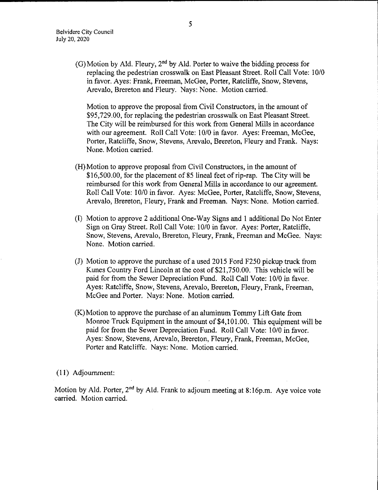$(G)$  Motion by Ald. Fleury, 2<sup>nd</sup> by Ald. Porter to waive the bidding process for replacing the pedestrian crosswalk on East Pleasant Street. Roll Call Vote: 10/0 in favor. Ayes: Frank, Freeman, McGee, Porter, Ratcliffe, Snow, Stevens, Arevalo, Brereton and Fleury. Nays: None. Motion carried.

Motion to approve the proposal from Civil Constructors, in the amount of 95, 729.00, for replacing the pedestrian crosswalk on East Pleasant Street. The City will be reimbursed for this work from General Mills in accordance with our agreement. Roll Call Vote: 10/0 in favor. Ayes: Freeman, McGee, Porter, Ratcliffe, Snow, Stevens, Arevalo, Brereton, Fleury and Frank. Nays: None. Motion carried.

- H) Motion to approve proposal from Civil Constructors, in the amount of \$16,500.00, for the placement of 85 lineal feet of rip-rap. The City will be reimbursed for this work from General Mills in accordance to our agreement. Roll Call Vote: 10/0 in favor. Ayes: McGee, Porter, Ratcliffe, Snow, Stevens, Arevalo, Brereton, Fleury, Frank and Freeman. Nays: None. Motion carried.
- 1) Motion to approve 2 additional One- Way Signs and <sup>1</sup> additional Do Not Enter Sign on Gray Street. Roll Call Vote: 10/0 in favor. Ayes: Porter, Ratcliffe, Snow, Stevens, Arevalo, Brereton, Fleury, Frank, Freeman and McGee. Nays: None. Motion carried.
- (J) Motion to approve the purchase of a used 2015 Ford F250 pickup truck from Kunes Country Ford Lincoln at the cost of \$21,750.00. This vehicle will be paid for from the Sewer Depreciation Fund. Roll Call Vote: 10/0 in favor. Ayes: Ratcliffe, Snow, Stevens, Arevalo, Brereton, Fleury, Frank, Freeman, McGee and Porter. Nays: None. Motion carried.
- K)Motion to approve the purchase of an aluminum Tommy Lift Gate from Monroe Truck Equipment in the amount of \$4,101.00. This equipment will be paid for from the Sewer Depreciation Fund. Roll Call Vote: 10/0 in favor. Ayes: Snow, Stevens, Arevalo, Brereton, Fleury, Frank, Freeman, McGee, Porter and Ratcliffe. Nays: None. Motion carried.

11) Adjournment:

Motion by Ald. Porter,  $2^{nd}$  by Ald. Frank to adjourn meeting at 8:16p.m. Aye voice vote carried. Motion carried.